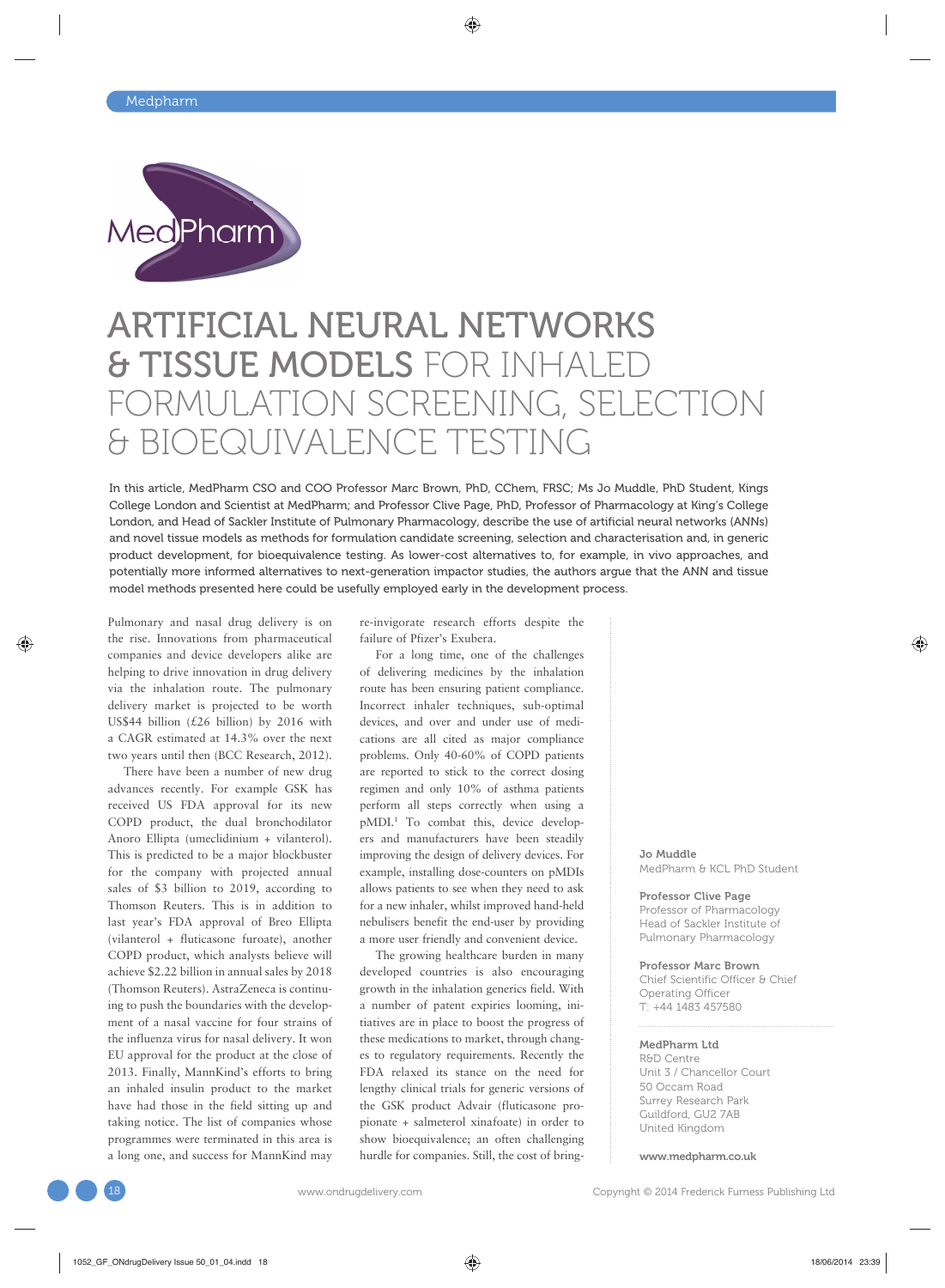

# ARTIFICIAL NEURAL NETWORKS **& TISSUE MODELS FOR INHALED** FORMULATION SCREENING, SELECTION & BIOEQUIVALENCE TESTING

In this article, MedPharm CSO and COO Professor Marc Brown, PhD, CChem, FRSC; Ms Jo Muddle, PhD Student, Kings College London and Scientist at MedPharm; and Professor Clive Page, PhD, Professor of Pharmacology at King's College London, and Head of Sackler Institute of Pulmonary Pharmacology, describe the use of artificial neural networks (ANNs) and novel tissue models as methods for formulation candidate screening, selection and characterisation and, in generic product development, for bioequivalence testing. As lower-cost alternatives to, for example, in vivo approaches, and potentially more informed alternatives to next-generation impactor studies, the authors argue that the ANN and tissue model methods presented here could be usefully employed early in the development process.

Pulmonary and nasal drug delivery is on the rise. Innovations from pharmaceutical companies and device developers alike are helping to drive innovation in drug delivery via the inhalation route. The pulmonary delivery market is projected to be worth US\$44 billion  $(E26 \text{ billion})$  by 2016 with a CAGR estimated at 14.3% over the next two years until then (BCC Research, 2012).

There have been a number of new drug advances recently. For example GSK has received US FDA approval for its new COPD product, the dual bronchodilator Anoro Ellipta (umeclidinium + vilanterol). This is predicted to be a major blockbuster for the company with projected annual sales of \$3 billion to 2019, according to Thomson Reuters. This is in addition to last year's FDA approval of Breo Ellipta (vilanterol + fluticasone furoate), another COPD product, which analysts believe will achieve \$2.22 billion in annual sales by 2018 (Thomson Reuters). AstraZeneca is continuing to push the boundaries with the development of a nasal vaccine for four strains of the influenza virus for nasal delivery. It won EU approval for the product at the close of 2013. Finally, MannKind's efforts to bring an inhaled insulin product to the market have had those in the field sitting up and taking notice. The list of companies whose programmes were terminated in this area is a long one, and success for MannKind may re-invigorate research efforts despite the failure of Pfizer's Exubera.

For a long time, one of the challenges of delivering medicines by the inhalation route has been ensuring patient compliance. Incorrect inhaler techniques, sub-optimal devices, and over and under use of medications are all cited as major compliance problems. Only 40-60% of COPD patients are reported to stick to the correct dosing regimen and only 10% of asthma patients perform all steps correctly when using a pMDI.1 To combat this, device developers and manufacturers have been steadily improving the design of delivery devices. For example, installing dose-counters on pMDIs allows patients to see when they need to ask for a new inhaler, whilst improved hand-held nebulisers benefit the end-user by providing a more user friendly and convenient device.

The growing healthcare burden in many developed countries is also encouraging growth in the inhalation generics field. With a number of patent expiries looming, initiatives are in place to boost the progress of these medications to market, through changes to regulatory requirements. Recently the FDA relaxed its stance on the need for lengthy clinical trials for generic versions of the GSK product Advair (fluticasone propionate + salmeterol xinafoate) in order to show bioequivalence; an often challenging hurdle for companies. Still, the cost of bring-

Jo Muddle MedPharm & KCL PhD Student

Professor Clive Page Professor of Pharmacology Head of Sackler Institute of Pulmonary Pharmacology

#### Professor Marc Brown

Chief Scientific Officer & Chief Operating Officer T: +44 1483 457580

#### MedPharm Ltd

R&D Centre Unit 3 / Chancellor Court 50 Occam Road Surrey Research Park Guildford, GU2 7AB United Kingdom

www.medpharm.co.uk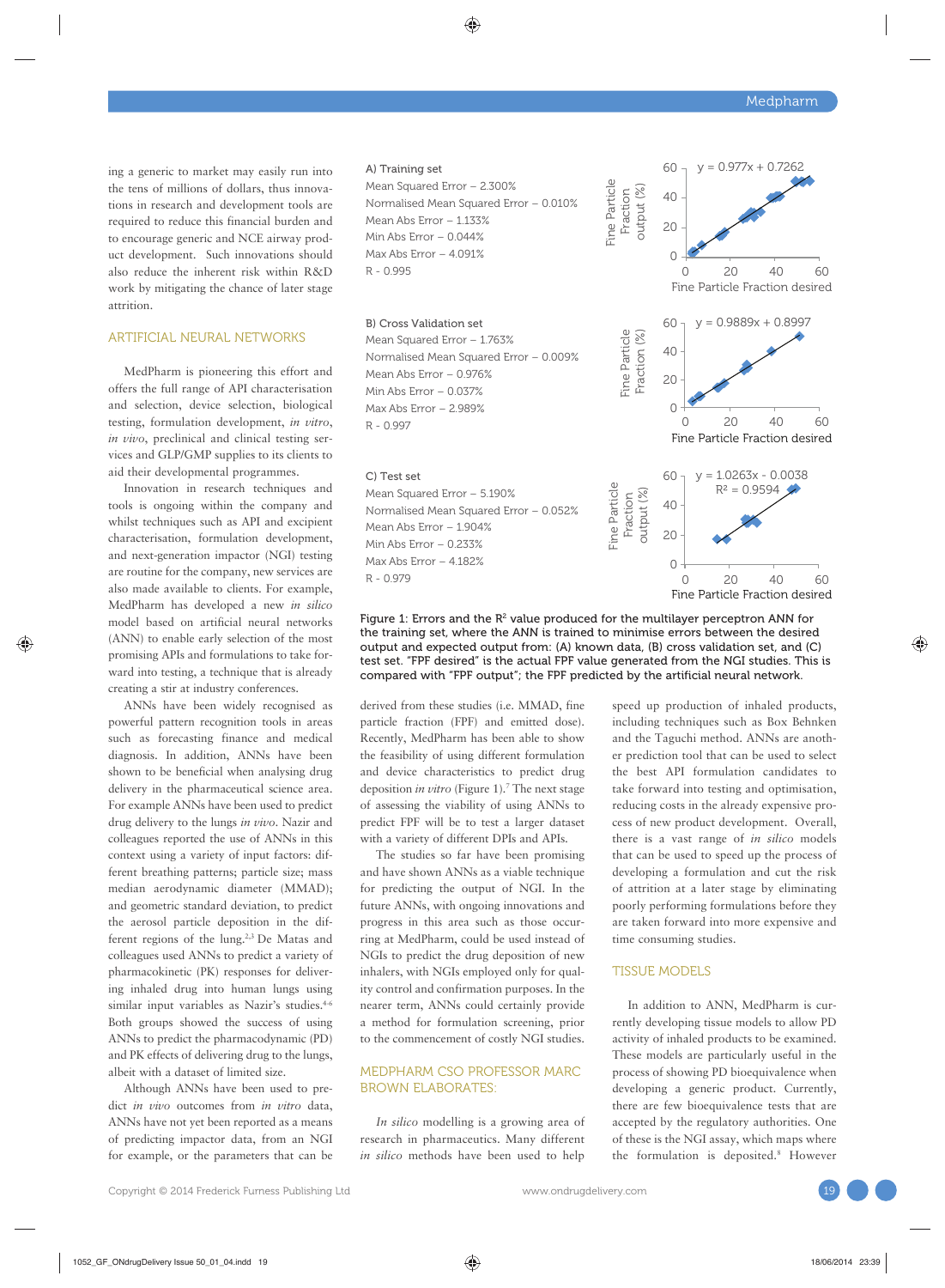ing a generic to market may easily run into the tens of millions of dollars, thus innovations in research and development tools are required to reduce this financial burden and to encourage generic and NCE airway product development. Such innovations should also reduce the inherent risk within R&D work by mitigating the chance of later stage attrition.

#### ARTIFICIAL NEURAL NETWORKS

MedPharm is pioneering this effort and offers the full range of API characterisation and selection, device selection, biological testing, formulation development, *in vitro*, *in vivo*, preclinical and clinical testing services and GLP/GMP supplies to its clients to aid their developmental programmes.

Innovation in research techniques and tools is ongoing within the company and whilst techniques such as API and excipient characterisation, formulation development, and next-generation impactor (NGI) testing are routine for the company, new services are also made available to clients. For example, MedPharm has developed a new *in silico* model based on artificial neural networks (ANN) to enable early selection of the most promising APIs and formulations to take forward into testing, a technique that is already creating a stir at industry conferences.

ANNs have been widely recognised as powerful pattern recognition tools in areas such as forecasting finance and medical diagnosis. In addition, ANNs have been shown to be beneficial when analysing drug delivery in the pharmaceutical science area. For example ANNs have been used to predict drug delivery to the lungs *in vivo*. Nazir and colleagues reported the use of ANNs in this context using a variety of input factors: different breathing patterns; particle size; mass median aerodynamic diameter (MMAD); and geometric standard deviation, to predict the aerosol particle deposition in the different regions of the lung.2,3 De Matas and colleagues used ANNs to predict a variety of pharmacokinetic (PK) responses for delivering inhaled drug into human lungs using similar input variables as Nazir's studies.<sup>4-6</sup> Both groups showed the success of using ANNs to predict the pharmacodynamic (PD) and PK effects of delivering drug to the lungs, albeit with a dataset of limited size.

Although ANNs have been used to predict *in vivo* outcomes from *in vitro* data, ANNs have not yet been reported as a means of predicting impactor data, from an NGI for example, or the parameters that can be



Figure 1: Errors and the  $R^2$  value produced for the multilayer perceptron ANN for the training set, where the ANN is trained to minimise errors between the desired output and expected output from: (A) known data, (B) cross validation set, and (C) test set. "FPF desired" is the actual FPF value generated from the NGI studies. This is compared with "FPF output"; the FPF predicted by the artificial neural network.

derived from these studies (i.e. MMAD, fine particle fraction (FPF) and emitted dose). Recently, MedPharm has been able to show the feasibility of using different formulation and device characteristics to predict drug deposition *in vitro* (Figure 1).<sup>7</sup> The next stage of assessing the viability of using ANNs to predict FPF will be to test a larger dataset with a variety of different DPIs and APIs.

The studies so far have been promising and have shown ANNs as a viable technique for predicting the output of NGI. In the future ANNs, with ongoing innovations and progress in this area such as those occurring at MedPharm, could be used instead of NGIs to predict the drug deposition of new inhalers, with NGIs employed only for quality control and confirmation purposes. In the nearer term, ANNs could certainly provide a method for formulation screening, prior to the commencement of costly NGI studies.

## MEDPHARM CSO PROFESSOR MARC BROWN ELABORATES:

*In silico* modelling is a growing area of research in pharmaceutics. Many different *in silico* methods have been used to help speed up production of inhaled products, including techniques such as Box Behnken and the Taguchi method. ANNs are another prediction tool that can be used to select the best API formulation candidates to take forward into testing and optimisation, reducing costs in the already expensive process of new product development. Overall, there is a vast range of *in silico* models that can be used to speed up the process of developing a formulation and cut the risk of attrition at a later stage by eliminating poorly performing formulations before they are taken forward into more expensive and time consuming studies.

#### TISSUE MODELS

In addition to ANN, MedPharm is currently developing tissue models to allow PD activity of inhaled products to be examined. These models are particularly useful in the process of showing PD bioequivalence when developing a generic product. Currently, there are few bioequivalence tests that are accepted by the regulatory authorities. One of these is the NGI assay, which maps where the formulation is deposited.8 However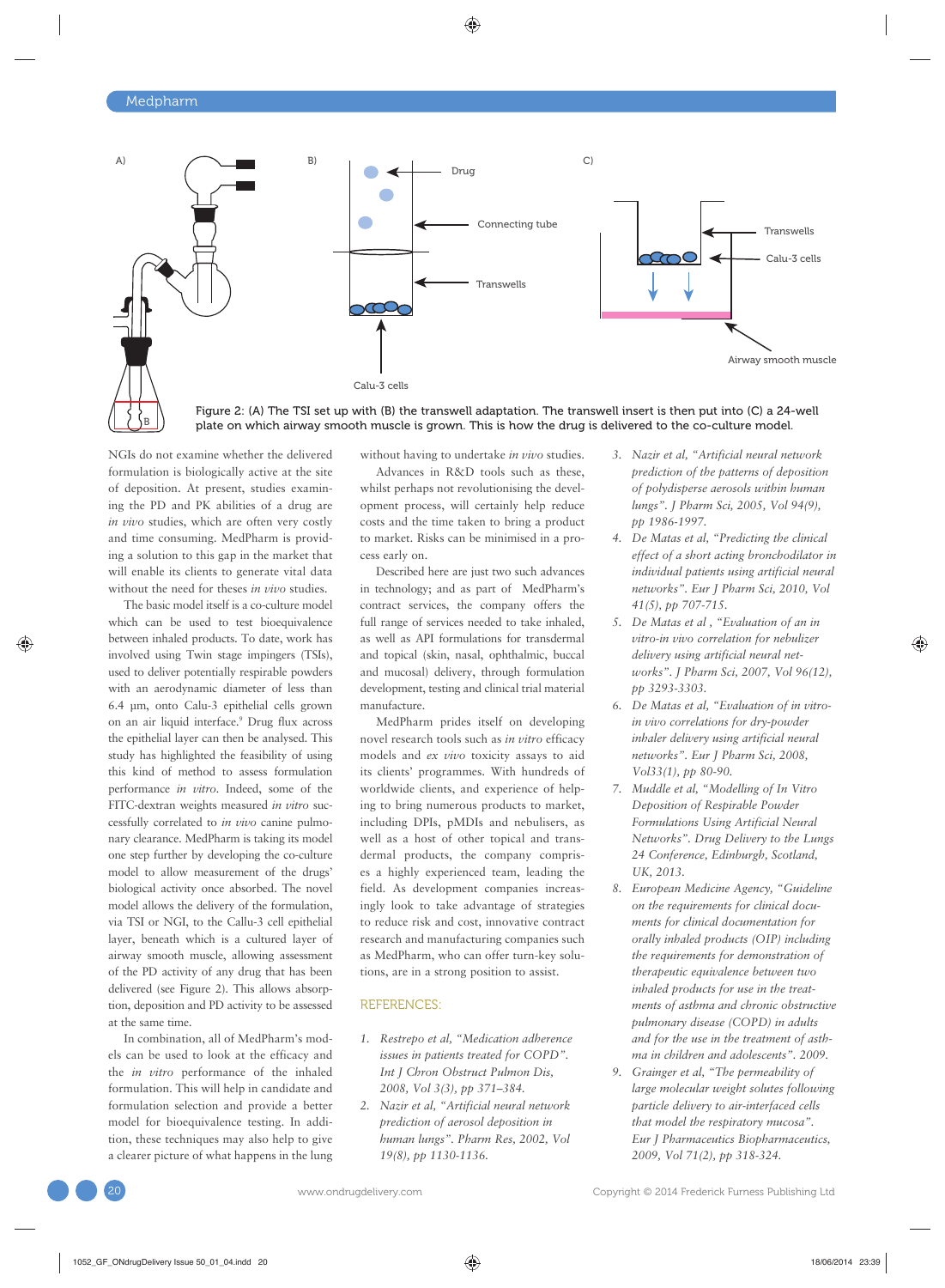B



Figure 2: (A) The TSI set up with (B) the transwell adaptation. The transwell insert is then put into (C) a 24-well plate on which airway smooth muscle is grown. This is how the drug is delivered to the co-culture model.

NGIs do not examine whether the delivered formulation is biologically active at the site of deposition. At present, studies examining the PD and PK abilities of a drug are *in vivo* studies, which are often very costly and time consuming. MedPharm is providing a solution to this gap in the market that will enable its clients to generate vital data without the need for theses *in vivo* studies.

The basic model itself is a co-culture model which can be used to test bioequivalence between inhaled products. To date, work has involved using Twin stage impingers (TSIs), used to deliver potentially respirable powders with an aerodynamic diameter of less than 6.4 μm, onto Calu-3 epithelial cells grown on an air liquid interface.9 Drug flux across the epithelial layer can then be analysed. This study has highlighted the feasibility of using this kind of method to assess formulation performance *in vitro*. Indeed, some of the FITC-dextran weights measured *in vitro* successfully correlated to *in vivo* canine pulmonary clearance. MedPharm is taking its model one step further by developing the co-culture model to allow measurement of the drugs' biological activity once absorbed. The novel model allows the delivery of the formulation, via TSI or NGI, to the Callu-3 cell epithelial layer, beneath which is a cultured layer of airway smooth muscle, allowing assessment of the PD activity of any drug that has been delivered (see Figure 2). This allows absorption, deposition and PD activity to be assessed at the same time.

In combination, all of MedPharm's models can be used to look at the efficacy and the *in vitro* performance of the inhaled formulation. This will help in candidate and formulation selection and provide a better model for bioequivalence testing. In addition, these techniques may also help to give a clearer picture of what happens in the lung without having to undertake *in vivo* studies.

Advances in R&D tools such as these, whilst perhaps not revolutionising the development process, will certainly help reduce costs and the time taken to bring a product to market. Risks can be minimised in a process early on.

Described here are just two such advances in technology; and as part of MedPharm's contract services, the company offers the full range of services needed to take inhaled, as well as API formulations for transdermal and topical (skin, nasal, ophthalmic, buccal and mucosal) delivery, through formulation development, testing and clinical trial material manufacture.

MedPharm prides itself on developing novel research tools such as *in vitro* efficacy models and *ex vivo* toxicity assays to aid its clients' programmes. With hundreds of worldwide clients, and experience of helping to bring numerous products to market, including DPIs, pMDIs and nebulisers, as well as a host of other topical and transdermal products, the company comprises a highly experienced team, leading the field. As development companies increasingly look to take advantage of strategies to reduce risk and cost, innovative contract research and manufacturing companies such as MedPharm, who can offer turn-key solutions, are in a strong position to assist.

#### REFERENCES:

- *1. Restrepo et al, "Medication adherence issues in patients treated for COPD". Int J Chron Obstruct Pulmon Dis, 2008, Vol 3(3), pp 371–384.*
- *2. Nazir et al, "Artificial neural network prediction of aerosol deposition in human lungs". Pharm Res, 2002, Vol 19(8), pp 1130-1136.*
- *3. Nazir et al, "Artificial neural network prediction of the patterns of deposition of polydisperse aerosols within human lungs". J Pharm Sci, 2005, Vol 94(9), pp 1986-1997.*
- *4. De Matas et al, "Predicting the clinical effect of a short acting bronchodilator in individual patients using artificial neural networks". Eur J Pharm Sci, 2010, Vol 41(5), pp 707-715.*
- *5. De Matas et al , "Evaluation of an in vitro-in vivo correlation for nebulizer delivery using artificial neural networks". J Pharm Sci, 2007, Vol 96(12), pp 3293-3303.*
- *6. De Matas et al, "Evaluation of in vitroin vivo correlations for dry-powder inhaler delivery using artificial neural networks". Eur J Pharm Sci, 2008, Vol33(1), pp 80-90.*
- *7. Muddle et al, "Modelling of In Vitro Deposition of Respirable Powder Formulations Using Artificial Neural Networks". Drug Delivery to the Lungs 24 Conference, Edinburgh, Scotland, UK, 2013.*
- *8. European Medicine Agency, "Guideline on the requirements for clinical documents for clinical documentation for orally inhaled products (OIP) including the requirements for demonstration of therapeutic equivalence between two inhaled products for use in the treatments of asthma and chronic obstructive pulmonary disease (COPD) in adults and for the use in the treatment of asthma in children and adolescents". 2009.*
- *9. Grainger et al, "The permeability of large molecular weight solutes following particle delivery to air-interfaced cells that model the respiratory mucosa". Eur J Pharmaceutics Biopharmaceutics, 2009, Vol 71(2), pp 318-324.*